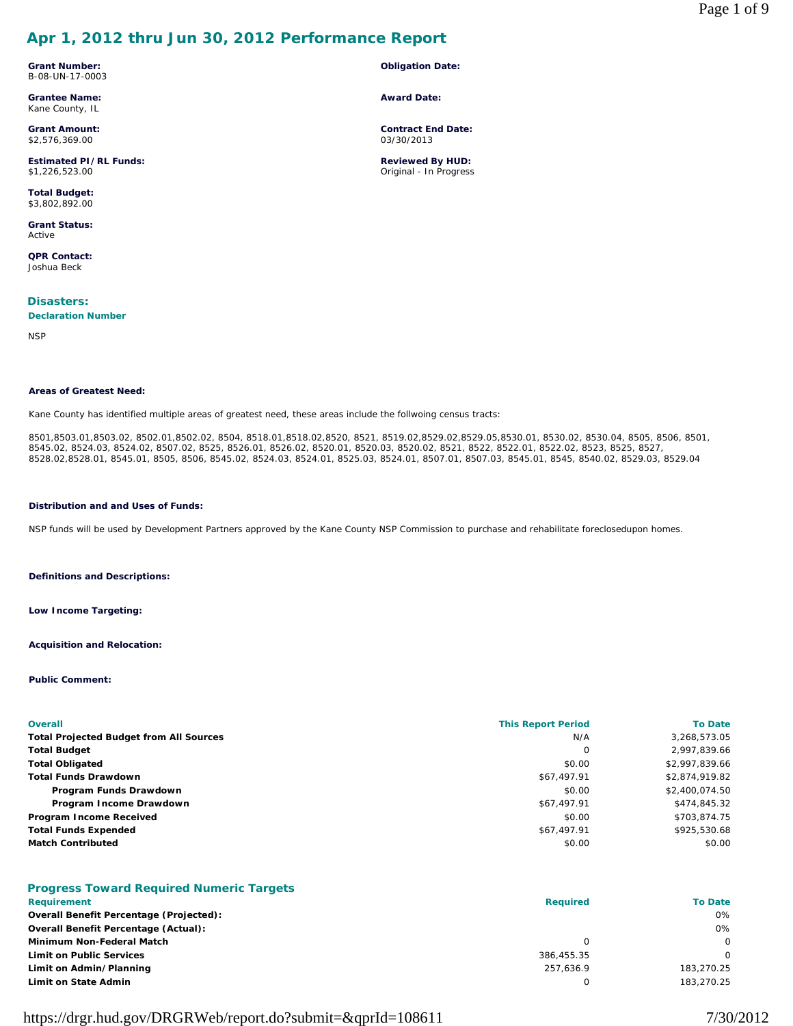# **Apr 1, 2012 thru Jun 30, 2012 Performance Report**

**Grant Number:** B-08-UN-17-0003

**Grantee Name:** Kane County, IL

**Grant Amount:** \$2,576,369.00

**Estimated PI/RL Funds:** \$1,226,523.00

**Total Budget:** \$3,802,892.00

**Grant Status:** Active

**QPR Contact:** Joshua Beck

**Disasters: Declaration Number**

**NSP** 

#### **Areas of Greatest Need:**

Kane County has identified multiple areas of greatest need, these areas include the follwoing census tracts:

8501,8503.01,8503.02, 8502.01,8502.02, 8504, 8518.01,8518.02,8520, 8521, 8519.02,8529.02,8529.05,8530.01, 8530.02, 8530.04, 8505, 8506, 8501, 8545.02, 8524.03, 8524.02, 8507.02, 8525, 8526.01, 8526.02, 8520.01, 8520.03, 8520.02, 8521, 8522, 8522.01, 8522.02, 8523, 8525, 8527, 8528.02,8528.01, 8545.01, 8505, 8506, 8545.02, 8524.03, 8524.01, 8525.03, 8524.01, 8507.01, 8507.03, 8545.01, 8545, 8540.02, 8529.03, 8529.04

**Obligation Date:**

**Contract End Date:** 03/30/2013

**Reviewed By HUD:** Original - In Progress

**Award Date:**

#### **Distribution and and Uses of Funds:**

NSP funds will be used by Development Partners approved by the Kane County NSP Commission to purchase and rehabilitate foreclosedupon homes.

**Definitions and Descriptions:**

**Low Income Targeting:**

**Acquisition and Relocation:**

**Public Comment:**

| <b>Overall</b>                                 | <b>This Report Period</b> | <b>To Date</b> |
|------------------------------------------------|---------------------------|----------------|
| <b>Total Projected Budget from All Sources</b> | N/A                       | 3,268,573.05   |
| <b>Total Budget</b>                            | 0                         | 2,997,839.66   |
| <b>Total Obligated</b>                         | \$0.00                    | \$2,997,839.66 |
| <b>Total Funds Drawdown</b>                    | \$67,497.91               | \$2,874,919.82 |
| Program Funds Drawdown                         | \$0.00                    | \$2,400,074.50 |
| Program Income Drawdown                        | \$67,497.91               | \$474,845.32   |
| Program Income Received                        | \$0.00                    | \$703,874.75   |
| <b>Total Funds Expended</b>                    | \$67,497.91               | \$925,530.68   |
| <b>Match Contributed</b>                       | \$0.00                    | \$0.00         |

## **Progress Toward Required Numeric Targets**

| Requirement                                    | <b>Required</b> | <b>To Date</b> |
|------------------------------------------------|-----------------|----------------|
| <b>Overall Benefit Percentage (Projected):</b> |                 | 0%             |
| <b>Overall Benefit Percentage (Actual):</b>    |                 | 0%             |
| Minimum Non-Federal Match                      |                 | $\Omega$       |
| <b>Limit on Public Services</b>                | 386,455.35      | $\Omega$       |
| Limit on Admin/Planning                        | 257.636.9       | 183,270.25     |
| Limit on State Admin                           |                 | 183.270.25     |

https://drgr.hud.gov/DRGRWeb/report.do?submit=&qprId=108611 7/30/2012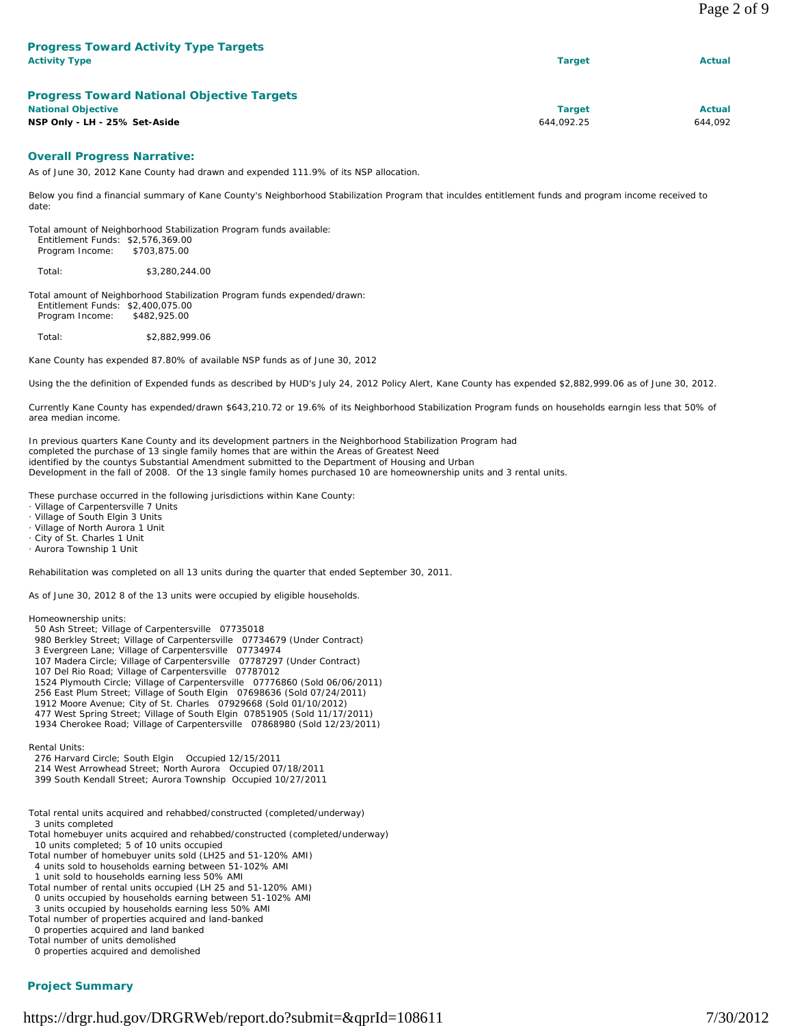| <b>Activity Type</b>      | <b>Progress Toward Activity Type Targets</b>                                                                                                          | <b>Target</b> | Actual        |
|---------------------------|-------------------------------------------------------------------------------------------------------------------------------------------------------|---------------|---------------|
|                           | <b>Progress Toward National Objective Targets</b>                                                                                                     |               |               |
| <b>National Objective</b> |                                                                                                                                                       | <b>Target</b> | <b>Actual</b> |
|                           | NSP Only - LH - 25% Set-Aside                                                                                                                         | 644,092.25    | 644,092       |
|                           | <b>Overall Progress Narrative:</b><br>As of June 30, 2012 Kane County had drawn and expended 111.9% of its NSP allocation.                            |               |               |
| date:                     | Below you find a financial summary of Kane County's Neighborhood Stabilization Program that inculdes entitlement funds and program income received to |               |               |
| Program Income:           | Total amount of Neighborhood Stabilization Program funds available:<br>Entitlement Funds: \$2,576,369.00<br>\$703,875.00                              |               |               |
| Total:                    | \$3,280,244.00                                                                                                                                        |               |               |

Total amount of Neighborhood Stabilization Program funds expended/drawn: Entitlement Funds: \$2,400,075.00 Program Income: \$482,925.00

Total: \$2,882,999.06

Kane County has expended 87.80% of available NSP funds as of June 30, 2012

Using the the definition of Expended funds as described by HUD's July 24, 2012 Policy Alert, Kane County has expended \$2,882,999.06 as of June 30, 2012.

Currently Kane County has expended/drawn \$643,210.72 or 19.6% of its Neighborhood Stabilization Program funds on households earngin less that 50% of area median income.

In previous quarters Kane County and its development partners in the Neighborhood Stabilization Program had completed the purchase of 13 single family homes that are within the Areas of Greatest Need identified by the countys Substantial Amendment submitted to the Department of Housing and Urban Development in the fall of 2008. Of the 13 single family homes purchased 10 are homeownership units and 3 rental units.

These purchase occurred in the following jurisdictions within Kane County:

Village of Carpentersville 7 Units

Village of South Elgin 3 Units

- · Village of North Aurora 1 Unit
- City of St. Charles 1 Unit
- · Aurora Township 1 Unit

Rehabilitation was completed on all 13 units during the quarter that ended September 30, 2011.

As of June 30, 2012 8 of the 13 units were occupied by eligible households.

Homeownership units: 50 Ash Street; Village of Carpentersville 07735018

- 980 Berkley Street; Village of Carpentersville 07734679 (Under Contract)
- 3 Evergreen Lane; Village of Carpentersville 07734974
- 107 Madera Circle; Village of Carpentersville 07787297 (Under Contract)
- 107 Del Rio Road; Village of Carpentersville 07787012
- 1524 Plymouth Circle; Village of Carpentersville 07776860 (Sold 06/06/2011)
- 256 East Plum Street; Village of South Elgin 07698636 (Sold 07/24/2011)
- 1912 Moore Avenue; City of St. Charles 07929668 (Sold 01/10/2012)
- 477 West Spring Street; Village of South Elgin 07851905 (Sold 11/17/2011)
- 1934 Cherokee Road; Village of Carpentersville 07868980 (Sold 12/23/2011)

Rental Units:

- 276 Harvard Circle; South Elgin Occupied 12/15/2011 214 West Arrowhead Street; North Aurora Occupied 07/18/2011
- 399 South Kendall Street; Aurora Township Occupied 10/27/2011
- Total rental units acquired and rehabbed/constructed (completed/underway) 3 units completed
- Total homebuyer units acquired and rehabbed/constructed (completed/underway) 10 units completed; 5 of 10 units occupied
- Total number of homebuyer units sold (LH25 and 51-120% AMI) 4 units sold to households earning between 51-102% AMI
- 1 unit sold to households earning less 50% AMI
- Total number of rental units occupied (LH 25 and 51-120% AMI)
- 0 units occupied by households earning between 51-102% AMI
- 3 units occupied by households earning less 50% AMI
- Total number of properties acquired and land-banked 0 properties acquired and land banked
- Total number of units demolished

0 properties acquired and demolished

### **Project Summary**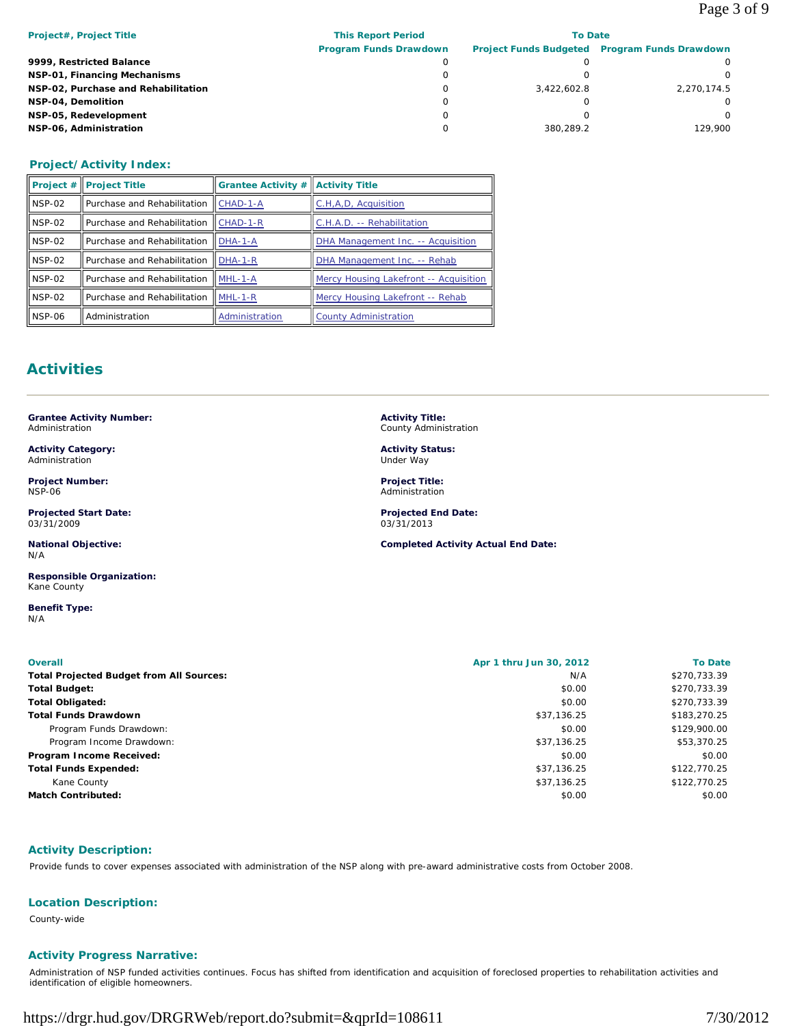| <b>This Report Period</b>     | <b>To Date</b> |                                               |  |
|-------------------------------|----------------|-----------------------------------------------|--|
| <b>Program Funds Drawdown</b> |                | Project Funds Budgeted Program Funds Drawdown |  |
|                               |                |                                               |  |
|                               |                |                                               |  |
|                               | 3.422.602.8    | 2,270,174.5                                   |  |
|                               |                |                                               |  |
| 0                             |                |                                               |  |
|                               | 380.289.2      | 129.900                                       |  |
|                               |                |                                               |  |

## **Project/Activity Index:**

|            | <b>Project # Project Title</b> | <b>Grantee Activity # Activity Title</b> |                                        |
|------------|--------------------------------|------------------------------------------|----------------------------------------|
| ll NSP-02  | Purchase and Rehabilitation    | CHAD-1-A                                 | C.H.A.D. Acquisition                   |
| $I$ NSP-02 | Purchase and Rehabilitation    | $ICHAD-1-R$                              | C.H.A.D. -- Rehabilitation             |
| $I$ NSP-02 | Purchase and Rehabilitation    | $IDHA-1-A$                               | DHA Management Inc. -- Acquisition     |
| $I$ NSP-02 | Purchase and Rehabilitation    | $IDHA-1-R$                               | DHA Management Inc. -- Rehab           |
| $I$ NSP-02 | Purchase and Rehabilitation    | $MHL-1-A$                                | Mercy Housing Lakefront -- Acquisition |
| $I$ NSP-02 | Purchase and Rehabilitation    | $I$ MHL-1-R                              | Mercy Housing Lakefront -- Rehab       |
| Il NSP-06  | Administration                 | Administration                           | <b>County Administration</b>           |

# **Activities**

**Grantee Activity Number:** Administration

**Activity Category:** Administration

**Project Number:** NSP-06

**Projected Start Date:** 03/31/2009

**National Objective:** N/A

**Responsible Organization:** Kane County

**Benefit Type:**  N/A

**Activity Title:** County Administration

**Activity Status:** Under Way

**Project Title:** Administration

**Projected End Date:** 03/31/2013

**Completed Activity Actual End Date:**

| <b>Total Projected Budget from All Sources:</b> | N/A         | \$270,733.39 |
|-------------------------------------------------|-------------|--------------|
|                                                 |             |              |
| <b>Total Budget:</b>                            | \$0.00      | \$270,733.39 |
| <b>Total Obligated:</b>                         | \$0.00      | \$270,733.39 |
| <b>Total Funds Drawdown</b>                     | \$37,136.25 | \$183,270.25 |
| Program Funds Drawdown:                         | \$0.00      | \$129,900.00 |
| Program Income Drawdown:                        | \$37,136.25 | \$53,370.25  |
| Program Income Received:                        | \$0.00      | \$0.00       |
| <b>Total Funds Expended:</b>                    | \$37,136.25 | \$122,770.25 |
| Kane County                                     | \$37,136.25 | \$122,770.25 |
| <b>Match Contributed:</b>                       | \$0.00      | \$0.00       |

# **Activity Description:**

Provide funds to cover expenses associated with administration of the NSP along with pre-award administrative costs from October 2008.

## **Location Description:**

County-wide

# **Activity Progress Narrative:**

Administration of NSP funded activities continues. Focus has shifted from identification and acquisition of foreclosed properties to rehabilitation activities and identification of eligible homeowners.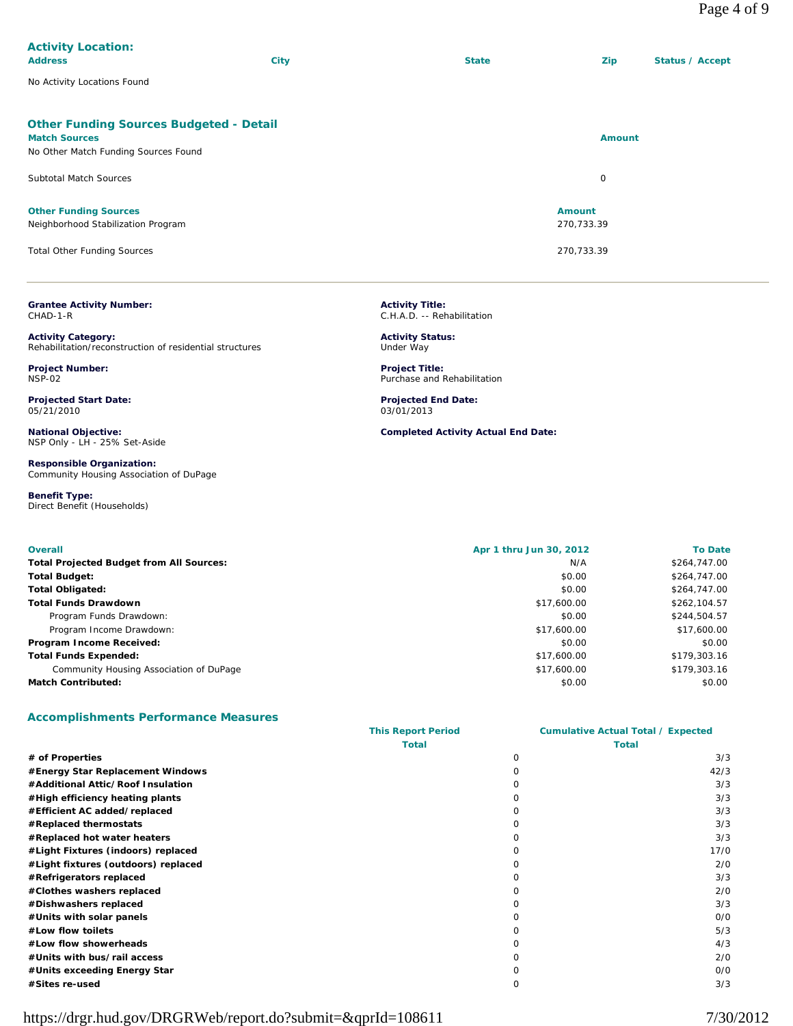| <b>Activity Location:</b>                      |             |              |               |                 |
|------------------------------------------------|-------------|--------------|---------------|-----------------|
| <b>Address</b>                                 | <b>City</b> | <b>State</b> | <b>Zip</b>    | Status / Accept |
| No Activity Locations Found                    |             |              |               |                 |
| <b>Other Funding Sources Budgeted - Detail</b> |             |              |               |                 |
| <b>Match Sources</b>                           |             |              | <b>Amount</b> |                 |
| No Other Match Funding Sources Found           |             |              |               |                 |
| <b>Subtotal Match Sources</b>                  |             |              | $\circ$       |                 |
| <b>Other Funding Sources</b>                   |             |              | <b>Amount</b> |                 |
| Neighborhood Stabilization Program             |             |              | 270,733.39    |                 |
| <b>Total Other Funding Sources</b>             |             |              | 270,733.39    |                 |

**Grantee Activity Number:** CHAD-1-R

**Activity Category:** Rehabilitation/reconstruction of residential structures

**Project Number:** NSP-02

**Projected Start Date:** 05/21/2010

**National Objective:** NSP Only - LH - 25% Set-Aside

**Responsible Organization:** Community Housing Association of DuPage

**Benefit Type:**  Direct Benefit (Households) **Activity Title:** C.H.A.D. -- Rehabilitation

**Activity Status:** Under Way

**Project Title:** Purchase and Rehabilitation

**Projected End Date:** 03/01/2013

**Completed Activity Actual End Date:**

| <b>Overall</b>                                  | Apr 1 thru Jun 30, 2012 | <b>To Date</b> |
|-------------------------------------------------|-------------------------|----------------|
| <b>Total Projected Budget from All Sources:</b> | N/A                     | \$264,747.00   |
| <b>Total Budget:</b>                            | \$0.00                  | \$264,747.00   |
| <b>Total Obligated:</b>                         | \$0.00                  | \$264,747.00   |
| <b>Total Funds Drawdown</b>                     | \$17,600.00             | \$262.104.57   |
| Program Funds Drawdown:                         | \$0.00                  | \$244,504.57   |
| Program Income Drawdown:                        | \$17,600.00             | \$17,600.00    |
| Program Income Received:                        | \$0.00                  | \$0.00         |
| <b>Total Funds Expended:</b>                    | \$17,600.00             | \$179,303.16   |
| Community Housing Association of DuPage         | \$17,600.00             | \$179,303.16   |
| <b>Match Contributed:</b>                       | \$0.00                  | \$0.00         |

### **Accomplishments Performance Measures**

|                                     | <b>This Report Period</b> |              | <b>Cumulative Actual Total / Expected</b> |  |
|-------------------------------------|---------------------------|--------------|-------------------------------------------|--|
|                                     | <b>Total</b>              |              | Total                                     |  |
| # of Properties                     |                           | 0            | 3/3                                       |  |
| #Energy Star Replacement Windows    |                           |              | 42/3                                      |  |
| #Additional Attic/Roof Insulation   |                           |              | 3/3                                       |  |
| #High efficiency heating plants     |                           | Ω            | 3/3                                       |  |
| #Efficient AC added/replaced        |                           | 0            | 3/3                                       |  |
| #Replaced thermostats               |                           | 0            | 3/3                                       |  |
| #Replaced hot water heaters         |                           | O            | 3/3                                       |  |
| #Light Fixtures (indoors) replaced  |                           |              | 17/0                                      |  |
| #Light fixtures (outdoors) replaced |                           | O            | 2/0                                       |  |
| #Refrigerators replaced             |                           | O            | 3/3                                       |  |
| #Clothes washers replaced           |                           |              | 2/0                                       |  |
| #Dishwashers replaced               |                           | O            | 3/3                                       |  |
| #Units with solar panels            |                           | O            | O/O                                       |  |
| #Low flow toilets                   |                           | O            | 5/3                                       |  |
| #Low flow showerheads               |                           | O            | 4/3                                       |  |
| #Units with bus/rail access         |                           | Ω            | 2/0                                       |  |
| #Units exceeding Energy Star        |                           | <sup>n</sup> | O/O                                       |  |
| #Sites re-used                      |                           | ი            | 3/3                                       |  |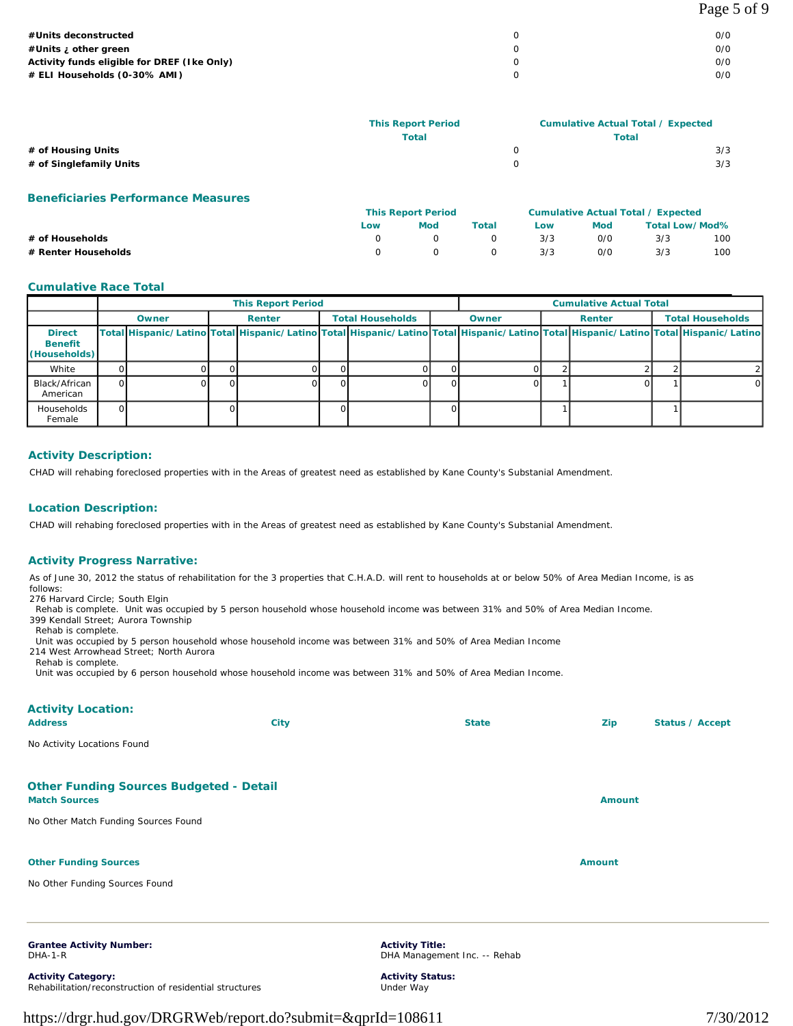| #Units deconstructed                        | 0/0 |
|---------------------------------------------|-----|
| #Units i other green                        | 0/0 |
| Activity funds eligible for DREF (Ike Only) | 0/0 |
| # ELI Households (0-30% AMI)                | 0/0 |
|                                             |     |

|                         | <b>This Report Period</b> |   | <b>Cumulative Actual Total / Expected</b> |  |  |
|-------------------------|---------------------------|---|-------------------------------------------|--|--|
|                         | <b>Total</b>              |   | <b>Total</b>                              |  |  |
| # of Housing Units      |                           | 0 | 3/3                                       |  |  |
| # of Singlefamily Units |                           |   | 3/3                                       |  |  |
|                         |                           |   |                                           |  |  |

**Beneficiaries Performance Measures**

|                     | <b>This Report Period</b> |     |       | Cumulative Actual Total / Expected |     |                       |     |
|---------------------|---------------------------|-----|-------|------------------------------------|-----|-----------------------|-----|
|                     | Low                       | Mod | Total | Low                                | Mod | <b>Total Low/Mod%</b> |     |
| # of Households     |                           |     |       | 3/3                                | 0/0 | 3/3                   | 100 |
| # Renter Households |                           |     |       | 3/3                                | O/O | 3/3                   | 100 |

#### **Cumulative Race Total**

|                                                 |    | <b>This Report Period</b>                                                                                                           |  |        |    |                         | <b>Cumulative Actual Total</b> |       |  |               |  |                         |
|-------------------------------------------------|----|-------------------------------------------------------------------------------------------------------------------------------------|--|--------|----|-------------------------|--------------------------------|-------|--|---------------|--|-------------------------|
|                                                 |    | Owner                                                                                                                               |  | Renter |    | <b>Total Households</b> |                                | Owner |  | <b>Renter</b> |  | <b>Total Households</b> |
| <b>Direct</b><br><b>Benefit</b><br>(Households) |    | Total Hispanic/Latino Total Hispanic/Latino Total Hispanic/Latino Total Hispanic/Latino Total Hispanic/Latino Total Hispanic/Latino |  |        |    |                         |                                |       |  |               |  |                         |
| White                                           |    |                                                                                                                                     |  |        |    |                         |                                |       |  |               |  |                         |
| Black/African<br>American                       |    |                                                                                                                                     |  |        |    |                         |                                |       |  |               |  | Ω                       |
| Households<br>Female                            | ΩL |                                                                                                                                     |  |        | ΩI |                         |                                |       |  |               |  |                         |

### **Activity Description:**

CHAD will rehabing foreclosed properties with in the Areas of greatest need as established by Kane County's Substanial Amendment.

#### **Location Description:**

CHAD will rehabing foreclosed properties with in the Areas of greatest need as established by Kane County's Substanial Amendment.

#### **Activity Progress Narrative:**

As of June 30, 2012 the status of rehabilitation for the 3 properties that C.H.A.D. will rent to households at or below 50% of Area Median Income, is as follows:

276 Harvard Circle; South Elgin

Rehab is complete. Unit was occupied by 5 person household whose household income was between 31% and 50% of Area Median Income.

399 Kendall Street; Aurora Township Rehab is complete.

Unit was occupied by 5 person household whose household income was between 31% and 50% of Area Median Income

214 West Arrowhead Street; North Aurora Rehab is complete.

Unit was occupied by 6 person household whose household income was between 31% and 50% of Area Median Income.

| <b>Activity Location:</b>                                              |                                                         |               |                 |
|------------------------------------------------------------------------|---------------------------------------------------------|---------------|-----------------|
| <b>Address</b><br><b>City</b>                                          | <b>State</b>                                            | Zip           | Status / Accept |
| No Activity Locations Found                                            |                                                         |               |                 |
| <b>Other Funding Sources Budgeted - Detail</b><br><b>Match Sources</b> |                                                         | <b>Amount</b> |                 |
| No Other Match Funding Sources Found                                   |                                                         |               |                 |
| <b>Other Funding Sources</b>                                           |                                                         | <b>Amount</b> |                 |
| No Other Funding Sources Found                                         |                                                         |               |                 |
| <b>Grantee Activity Number:</b>                                        | <b>Activity Title:</b>                                  |               |                 |
| DHA-1-R<br><b>Activity Category:</b>                                   | DHA Management Inc. -- Rehab<br><b>Activity Status:</b> |               |                 |

Under Way

https://drgr.hud.gov/DRGRWeb/report.do?submit=&qprId=108611 7/30/2012

Rehabilitation/reconstruction of residential structures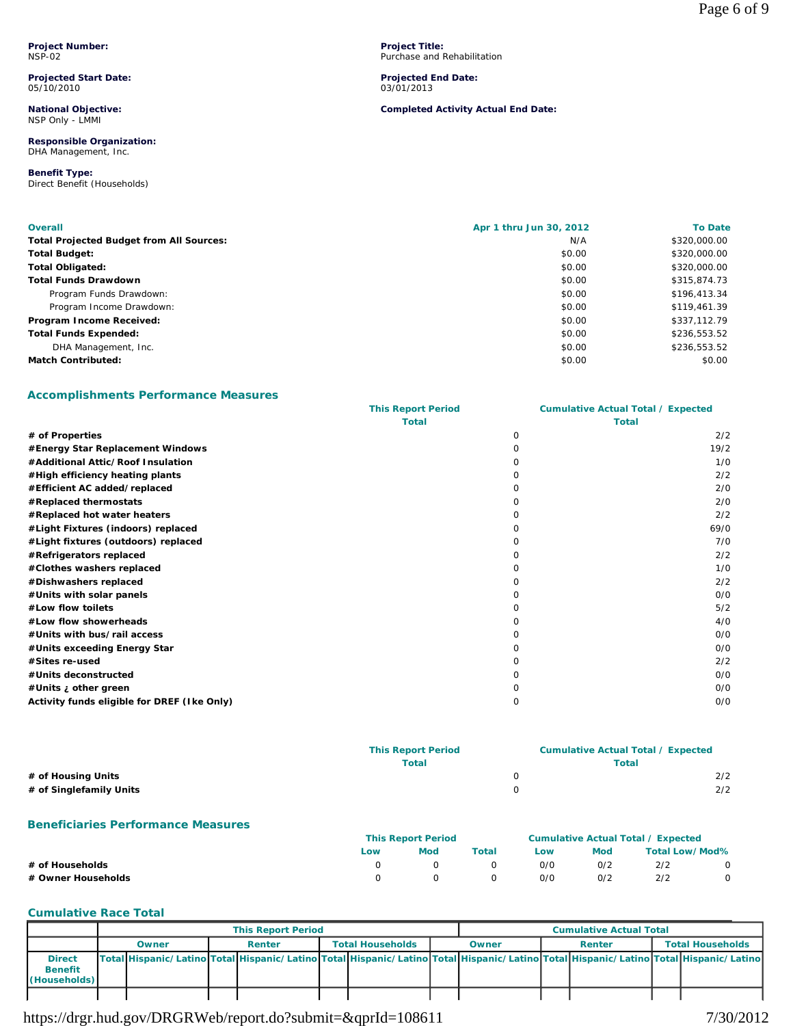**Project Number:** NSP-02

**Projected Start Date:** 05/10/2010

**National Objective:** NSP Only - LMMI

**Responsible Organization:** DHA Management, Inc.

**Benefit Type:**  Direct Benefit (Households) **Project Title:** Purchase and Rehabilitation

**Projected End Date:** 03/01/2013

**Completed Activity Actual End Date:**

| <b>Overall</b>                                  | Apr 1 thru Jun 30, 2012 | <b>To Date</b> |
|-------------------------------------------------|-------------------------|----------------|
| <b>Total Projected Budget from All Sources:</b> | N/A                     | \$320,000.00   |
| <b>Total Budget:</b>                            | \$0.00                  | \$320,000.00   |
| <b>Total Obligated:</b>                         | \$0.00                  | \$320,000.00   |
| <b>Total Funds Drawdown</b>                     | \$0.00                  | \$315,874.73   |
| Program Funds Drawdown:                         | \$0.00                  | \$196,413.34   |
| Program Income Drawdown:                        | \$0.00                  | \$119,461.39   |
| Program Income Received:                        | \$0.00                  | \$337,112.79   |
| <b>Total Funds Expended:</b>                    | \$0.00                  | \$236,553.52   |
| DHA Management, Inc.                            | \$0.00                  | \$236,553.52   |
| <b>Match Contributed:</b>                       | \$0.00                  | \$0.00         |

### **Accomplishments Performance Measures**

|                                             | <b>This Report Period</b> |   | <b>Cumulative Actual Total / Expected</b> |
|---------------------------------------------|---------------------------|---|-------------------------------------------|
|                                             | <b>Total</b>              |   | <b>Total</b>                              |
| # of Properties                             |                           | 0 | 2/2                                       |
| #Energy Star Replacement Windows            |                           |   | 19/2                                      |
| #Additional Attic/Roof Insulation           |                           |   | 1/0                                       |
| #High efficiency heating plants             |                           |   | 2/2                                       |
| #Efficient AC added/replaced                |                           |   | 2/0                                       |
| #Replaced thermostats                       |                           |   | 2/0                                       |
| #Replaced hot water heaters                 |                           |   | 2/2                                       |
| #Light Fixtures (indoors) replaced          |                           |   | 69/0                                      |
| #Light fixtures (outdoors) replaced         |                           |   | 7/0                                       |
| #Refrigerators replaced                     |                           |   | 2/2                                       |
| #Clothes washers replaced                   |                           |   | 1/0                                       |
| #Dishwashers replaced                       |                           |   | 2/2                                       |
| #Units with solar panels                    |                           |   | O/O                                       |
| #Low flow toilets                           |                           |   | 5/2                                       |
| #Low flow showerheads                       |                           |   | 4/0                                       |
| #Units with bus/rail access                 |                           |   | O/O                                       |
| #Units exceeding Energy Star                |                           |   | O/O                                       |
| #Sites re-used                              |                           |   | 2/2                                       |
| #Units deconstructed                        |                           |   | O/O                                       |
| #Units ¿ other green                        |                           |   | O/O                                       |
| Activity funds eligible for DREF (Ike Only) |                           | Ω | O/O                                       |

|                         | <b>This Report Period</b> | <b>Cumulative Actual Total / Expected</b> |     |
|-------------------------|---------------------------|-------------------------------------------|-----|
|                         | Total                     | <b>Total</b>                              |     |
| # of Housing Units      |                           |                                           | 2/2 |
| # of Singlefamily Units |                           |                                           | 2/2 |
|                         |                           |                                           |     |

#### **Beneficiaries Performance Measures**

|                    | <b>This Report Period</b> |            |       | <b>Cumulative Actual Total / Expected</b> |     |                |         |
|--------------------|---------------------------|------------|-------|-------------------------------------------|-----|----------------|---------|
|                    | Low                       | <b>Mod</b> | Total | Low                                       | Mod | Total Low/Mod% |         |
| # of Households    |                           |            |       | 0/0                                       | 0/2 | 2/2            | $\circ$ |
| # Owner Households |                           |            |       | 0/0                                       | 0/2 | 2/2            |         |

#### **Cumulative Race Total**

|                                                 | <b>This Report Period</b> |  |        |  |                         | <b>Cumulative Actual Total</b> |                                                                                                                                     |  |        |  |                         |
|-------------------------------------------------|---------------------------|--|--------|--|-------------------------|--------------------------------|-------------------------------------------------------------------------------------------------------------------------------------|--|--------|--|-------------------------|
|                                                 | Owner                     |  | Renter |  | <b>Total Households</b> |                                | Owner                                                                                                                               |  | Renter |  | <b>Total Households</b> |
| <b>Direct</b><br><b>Benefit</b><br>(Households) |                           |  |        |  |                         |                                | Total Hispanic/Latino Total Hispanic/Latino Total Hispanic/Latino Total Hispanic/Latino Total Hispanic/Latino Total Hispanic/Latino |  |        |  |                         |
|                                                 |                           |  |        |  |                         |                                |                                                                                                                                     |  |        |  |                         |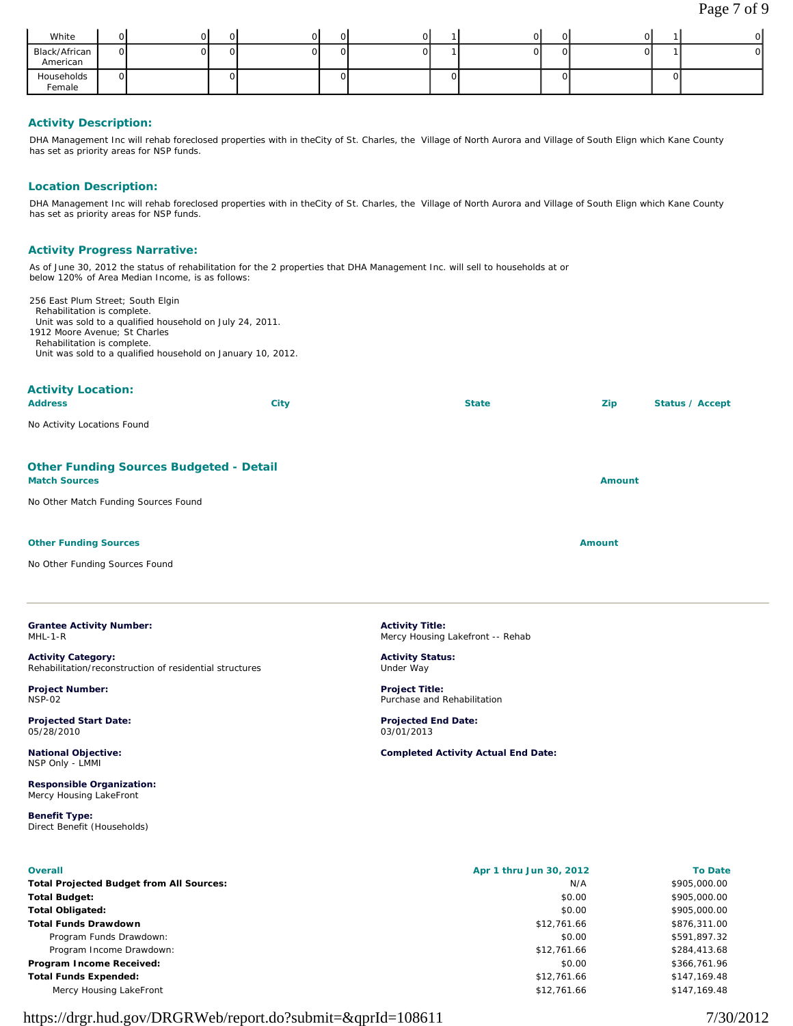| White                     |    | ж |  |    |  | $\cdot$ , $\cdot$ |  |     | ∩∣ |
|---------------------------|----|---|--|----|--|-------------------|--|-----|----|
| Black/African<br>American | ΩI |   |  | ור |  |                   |  |     |    |
| Households<br>Female      | ΩI |   |  | ') |  |                   |  | лJэ |    |

### **Activity Description:**

DHA Management Inc will rehab foreclosed properties with in theCity of St. Charles, the Village of North Aurora and Village of South Elign which Kane County has set as priority areas for NSP funds.

#### **Location Description:**

DHA Management Inc will rehab foreclosed properties with in theCity of St. Charles, the Village of North Aurora and Village of South Elign which Kane County has set as priority areas for NSP funds.

### **Activity Progress Narrative:**

As of June 30, 2012 the status of rehabilitation for the 2 properties that DHA Management Inc. will sell to households at or below 120% of Area Median Income, is as follows:

256 East Plum Street; South Elgin Rehabilitation is complete. Unit was sold to a qualified household on July 24, 2011. 1912 Moore Avenue; St Charles Rehabilitation is complete. Unit was sold to a qualified household on January 10, 2012.

| <b>Activity Location:</b><br><b>Address</b>                            | City | <b>State</b> | Zip           | <b>Status / Accept</b> |
|------------------------------------------------------------------------|------|--------------|---------------|------------------------|
| No Activity Locations Found                                            |      |              |               |                        |
| <b>Other Funding Sources Budgeted - Detail</b><br><b>Match Sources</b> |      |              | <b>Amount</b> |                        |
| No Other Match Funding Sources Found                                   |      |              |               |                        |
| <b>Other Funding Sources</b>                                           |      |              | <b>Amount</b> |                        |
| No Other Funding Sources Found                                         |      |              |               |                        |

| <b>Grantee Activity Number:</b> |  |
|---------------------------------|--|
| $MHL-1-R$                       |  |

**Activity Category:** Rehabilitation/reconstruction of residential structures

**Project Number:** NSP-02

**Projected Start Date:** 05/28/2010

**National Objective:** NSP Only - LMMI

**Responsible Organization:** Mercy Housing LakeFront

**Benefit Type:**  Direct Benefit (Households)

**Activity Title:** Mercy Housing Lakefront -- Rehab

**Activity Status:** Under Way

**Project Title:** Purchase and Rehabilitation

**Projected End Date:** 03/01/2013

**Completed Activity Actual End Date:**

| <b>Overall</b>                                  | Apr 1 thru Jun 30, 2012 | <b>To Date</b> |
|-------------------------------------------------|-------------------------|----------------|
| <b>Total Projected Budget from All Sources:</b> | N/A                     | \$905,000.00   |
| Total Budget:                                   | \$0.00                  | \$905,000.00   |
| Total Obligated:                                | \$0.00                  | \$905,000,00   |
| Total Funds Drawdown                            | \$12,761.66             | \$876,311.00   |
| Program Funds Drawdown:                         | \$0.00                  | \$591,897.32   |
| Program Income Drawdown:                        | \$12,761.66             | \$284,413.68   |
| Program Income Received:                        | \$0.00                  | \$366,761.96   |
| <b>Total Funds Expended:</b>                    | \$12,761.66             | \$147,169.48   |
| Mercy Housing LakeFront                         | \$12,761.66             | \$147.169.48   |
|                                                 |                         |                |

# https://drgr.hud.gov/DRGRWeb/report.do?submit=&qprId=108611 7/30/2012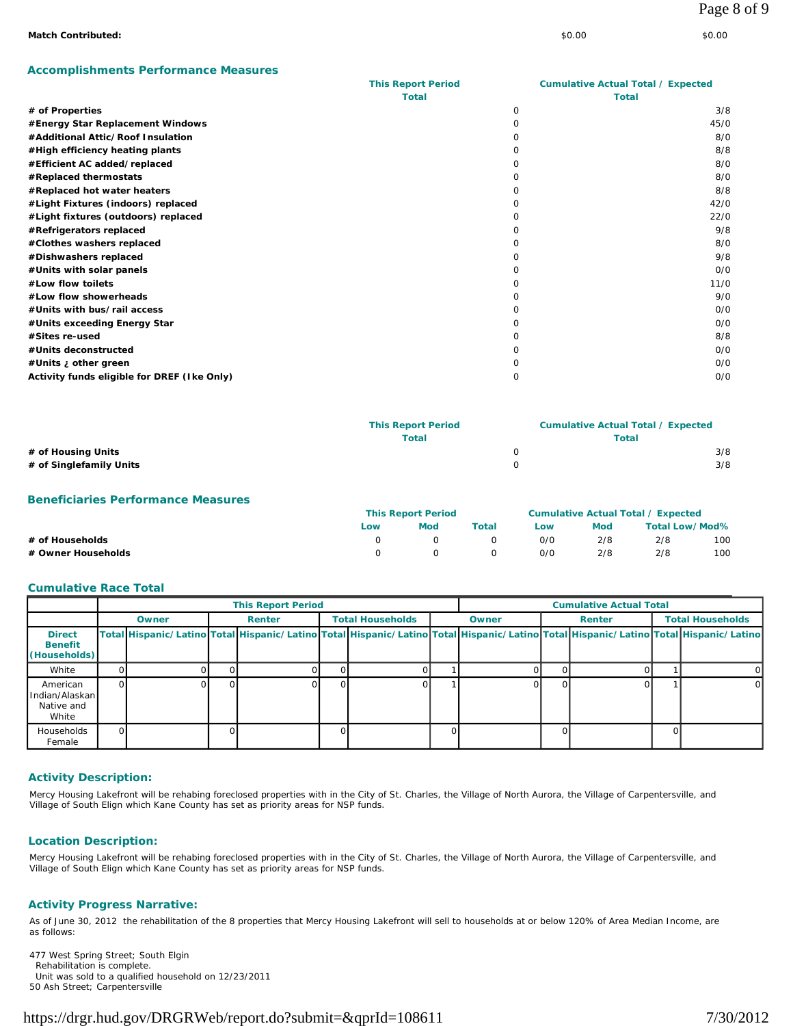### **Accomplishments Performance Measures**

|                                             | <b>This Report Period</b> |          | <b>Cumulative Actual Total / Expected</b> |
|---------------------------------------------|---------------------------|----------|-------------------------------------------|
|                                             | <b>Total</b>              |          | <b>Total</b>                              |
| # of Properties                             |                           | $\Omega$ | 3/8                                       |
| #Energy Star Replacement Windows            |                           | O        | 45/0                                      |
| #Additional Attic/Roof Insulation           |                           | Ω        | 8/0                                       |
| #High efficiency heating plants             |                           |          | 8/8                                       |
| #Efficient AC added/replaced                |                           | O        | 8/0                                       |
| #Replaced thermostats                       |                           | Ω        | 8/0                                       |
| #Replaced hot water heaters                 |                           | Ω        | 8/8                                       |
| #Light Fixtures (indoors) replaced          |                           | Ω        | 42/0                                      |
| #Light fixtures (outdoors) replaced         |                           | O        | 22/0                                      |
| #Refrigerators replaced                     |                           | O        | 9/8                                       |
| #Clothes washers replaced                   |                           | O        | 8/0                                       |
| #Dishwashers replaced                       |                           | Ω        | 9/8                                       |
| #Units with solar panels                    |                           |          | O/O                                       |
| #Low flow toilets                           |                           | O        | 11/0                                      |
| #Low flow showerheads                       |                           |          | 9/0                                       |
| #Units with bus/rail access                 |                           | Ω        | O/O                                       |
| #Units exceeding Energy Star                |                           | Ω        | O/O                                       |
| #Sites re-used                              |                           |          | 8/8                                       |
| #Units deconstructed                        |                           |          | O/O                                       |
| #Units ¿ other green                        |                           |          | O/O                                       |
| Activity funds eligible for DREF (Ike Only) |                           | $\Omega$ | O/O                                       |

|                         | <b>This Report Period</b> | <b>Cumulative Actual Total / Expected</b> |     |
|-------------------------|---------------------------|-------------------------------------------|-----|
|                         | Total                     | Total                                     |     |
| # of Housing Units      |                           |                                           | 3/8 |
| # of Singlefamily Units |                           |                                           | 3/8 |

#### **Beneficiaries Performance Measures**

|                    |     | <b>This Report Period</b> |         | <b>Cumulative Actual Total / Expected</b> |     |                |     |  |
|--------------------|-----|---------------------------|---------|-------------------------------------------|-----|----------------|-----|--|
|                    | Low | Mod                       | Total   | Low                                       | Mod | Total Low/Mod% |     |  |
| # of Households    |     |                           |         | O/C                                       | 2/8 | 2/8            | 100 |  |
| # Owner Households |     | $\Omega$                  | $\circ$ | O/O                                       | 2/8 | 2/8            | 100 |  |

#### **Cumulative Race Total**

|                                                       | <b>This Report Period</b> |       |  |        |                         |  | <b>Cumulative Actual Total</b> |                                                                                                                                     |        |  |                         |   |
|-------------------------------------------------------|---------------------------|-------|--|--------|-------------------------|--|--------------------------------|-------------------------------------------------------------------------------------------------------------------------------------|--------|--|-------------------------|---|
|                                                       |                           | Owner |  | Renter | <b>Total Households</b> |  | Owner                          |                                                                                                                                     | Renter |  | <b>Total Households</b> |   |
| <b>Direct</b><br><b>Benefit</b><br>(Households)       |                           |       |  |        |                         |  |                                | Total Hispanic/Latino Total Hispanic/Latino Total Hispanic/Latino Total Hispanic/Latino Total Hispanic/Latino Total Hispanic/Latino |        |  |                         |   |
| White                                                 |                           |       |  |        |                         |  |                                |                                                                                                                                     |        |  |                         | 0 |
| American<br>I Indian/Alaskan I<br>Native and<br>White | ΩI                        |       |  |        |                         |  |                                |                                                                                                                                     |        |  |                         | 0 |
| Households<br>Female                                  | ΩI                        |       |  |        |                         |  |                                |                                                                                                                                     |        |  |                         |   |

### **Activity Description:**

Mercy Housing Lakefront will be rehabing foreclosed properties with in the City of St. Charles, the Village of North Aurora, the Village of Carpentersville, and Village of South Elign which Kane County has set as priority areas for NSP funds.

#### **Location Description:**

Mercy Housing Lakefront will be rehabing foreclosed properties with in the City of St. Charles, the Village of North Aurora, the Village of Carpentersville, and Village of South Elign which Kane County has set as priority areas for NSP funds.

#### **Activity Progress Narrative:**

As of June 30, 2012 the rehabilitation of the 8 properties that Mercy Housing Lakefront will sell to households at or below 120% of Area Median Income, are as follows:

477 West Spring Street; South Elgin Rehabilitation is complete. Unit was sold to a qualified household on 12/23/2011 50 Ash Street; Carpentersville